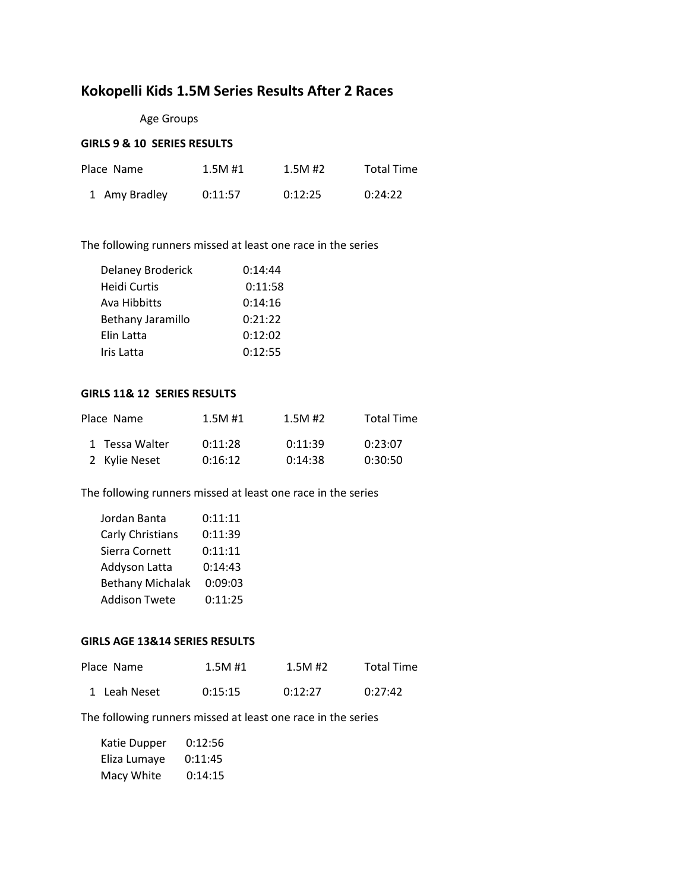# **Kokopelli Kids 1.5M Series Results After 2 Races**

Age Groups

# **GIRLS 9 & 10 SERIES RESULTS**

| Place Name    | 1.5M#1  | 1.5M#2  | <b>Total Time</b> |
|---------------|---------|---------|-------------------|
| 1 Amy Bradley | 0:11:57 | 0:12:25 | 0:24:22           |

The following runners missed at least one race in the series

| <b>Delaney Broderick</b> | 0:14:44 |
|--------------------------|---------|
| Heidi Curtis             | 0:11:58 |
| Ava Hibbitts             | 0:14:16 |
| Bethany Jaramillo        | 0:21:22 |
| Elin Latta               | 0:12:02 |
| Iris Latta               | 0:12:55 |

## **GIRLS 11& 12 SERIES RESULTS**

| Place Name     | 1.5M#1  | $1.5M$ #2 | <b>Total Time</b> |
|----------------|---------|-----------|-------------------|
| 1 Tessa Walter | 0:11:28 | 0:11:39   | 0:23:07           |
| 2 Kylie Neset  | 0:16:12 | 0:14:38   | 0:30:50           |

The following runners missed at least one race in the series

| Jordan Banta            | 0:11:11 |
|-------------------------|---------|
| Carly Christians        | 0:11:39 |
| Sierra Cornett          | 0:11:11 |
| Addyson Latta           | 0:14:43 |
| <b>Bethany Michalak</b> | 0:09:03 |
| <b>Addison Twete</b>    | 0:11:25 |

#### **GIRLS AGE 13&14 SERIES RESULTS**

| Place Name   | 1.5M#1  | 1.5M#2  | <b>Total Time</b> |
|--------------|---------|---------|-------------------|
| 1 Leah Neset | 0:15:15 | 0:12:27 | 0:27:42           |

The following runners missed at least one race in the series

| Katie Dupper | 0:12:56 |
|--------------|---------|
| Eliza Lumaye | 0:11:45 |
| Macy White   | 0:14:15 |